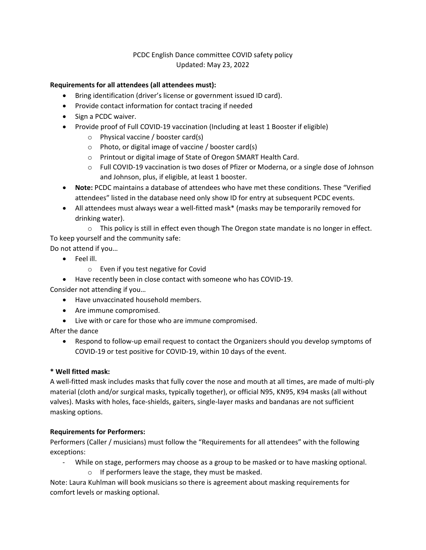# PCDC English Dance committee COVID safety policy Updated: May 23, 2022

## **Requirements for all attendees (all attendees must):**

- Bring identification (driver's license or government issued ID card).
- Provide contact information for contact tracing if needed
- Sign a PCDC waiver.
- Provide proof of Full COVID-19 vaccination (Including at least 1 Booster if eligible)
	- o Physical vaccine / booster card(s)
	- o Photo, or digital image of vaccine / booster card(s)
	- o Printout or digital image of State of Oregon SMART Health Card.
	- o Full COVID‐19 vaccination is two doses of Pfizer or Moderna, or a single dose of Johnson and Johnson, plus, if eligible, at least 1 booster.
- **Note:** PCDC maintains a database of attendees who have met these conditions. These "Verified attendees" listed in the database need only show ID for entry at subsequent PCDC events.
- All attendees must always wear a well‐fitted mask\* (masks may be temporarily removed for drinking water).

 $\circ$  This policy is still in effect even though The Oregon state mandate is no longer in effect. To keep yourself and the community safe:

Do not attend if you…

- Feel ill.
	- o Even if you test negative for Covid
- Have recently been in close contact with someone who has COVID-19.

Consider not attending if you…

- Have unvaccinated household members.
- Are immune compromised.
- Live with or care for those who are immune compromised.

After the dance

● Respond to follow-up email request to contact the Organizers should you develop symptoms of COVID‐19 or test positive for COVID‐19, within 10 days of the event.

#### **\* Well fitted mask:**

A well‐fitted mask includes masks that fully cover the nose and mouth at all times, are made of multi‐ply material (cloth and/or surgical masks, typically together), or official N95, KN95, K94 masks (all without valves). Masks with holes, face‐shields, gaiters, single‐layer masks and bandanas are not sufficient masking options.

#### **Requirements for Performers:**

Performers (Caller / musicians) must follow the "Requirements for all attendees" with the following exceptions:

- ‐ While on stage, performers may choose as a group to be masked or to have masking optional.
	- o If performers leave the stage, they must be masked.

Note: Laura Kuhlman will book musicians so there is agreement about masking requirements for comfort levels or masking optional.